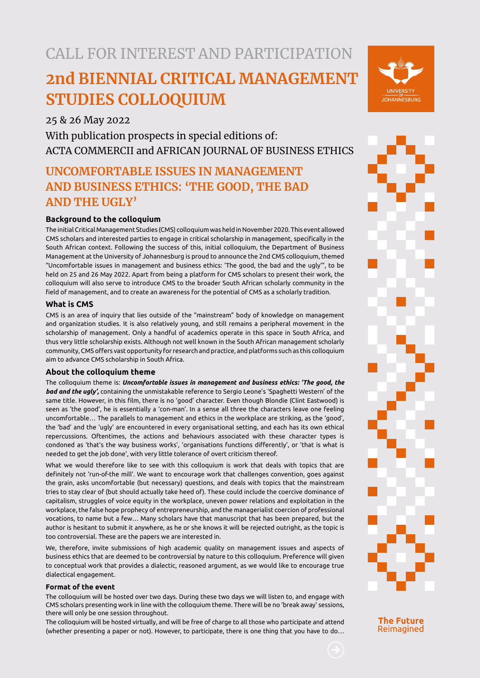# CALL FOR INTEREST AND PARTICIPATION

# **2nd BIENNIAL CRITICAL MANAGEMENT STUDIES COLLOQUIUM**

25 & 26 May 2022

With publication prospects in special editions of: ACTA COMMERCII and AFRICAN JOURNAL OF BUSINESS ETHICS

# **UNCOMFORTABLE ISSUES IN MANAGEMENT AND BUSINESS ETHICS: 'THE GOOD, THE BAD AND THE UGLY'**

## **Background to the colloquium**

The initial Critical Management Studies (CMS) colloquium was held in November 2020. This event allowed CMS scholars and interested parties to engage in critical scholarship in management, specifically in the South African context. Following the success of this, initial colloquium, the Department of Business Management at the University of Johannesburg is proud to announce the 2nd CMS colloquium, themed "Uncomfortable issues in management and business ethics: 'The good, the bad and the ugly'", to be held on 25 and 26 May 2022. Apart from being a platform for CMS scholars to present their work, the colloquium will also serve to introduce CMS to the broader South African scholarly community in the field of management, and to create an awareness for the potential of CMS as a scholarly tradition.

### **What is CMS**

CMS is an area of inquiry that lies outside of the "mainstream" body of knowledge on management and organization studies. It is also relatively young, and still remains a peripheral movement in the scholarship of management. Only a handful of academics operate in this space in South Africa, and thus very little scholarship exists. Although not well known in the South African management scholarly community, CMS offers vast opportunity for research and practice, and platforms such as this colloquium aim to advance CMS scholarship in South Africa.

### **About the colloquium theme**

The colloquium theme is: *Uncomfortable issues in management and business ethics: 'The good, the bad and the ugly',* containing the unmistakable reference to Sergio Leone's 'Spaghetti Western' of the same title. However, in this film, there is no 'good' character. Even though Blondie (Clint Eastwood) is seen as 'the good', he is essentially a 'con-man'. In a sense all three the characters leave one feeling uncomfortable… The parallels to management and ethics in the workplace are striking, as the 'good', the 'bad' and the 'ugly' are encountered in every organisational setting, and each has its own ethical repercussions. Oftentimes, the actions and behaviours associated with these character types is condoned as 'that's the way business works', 'organisations functions differently', or 'that is what is needed to get the job done', with very little tolerance of overt criticism thereof.

What we would therefore like to see with this colloquium is work that deals with topics that are definitely not 'run-of-the mill'. We want to encourage work that challenges convention, goes against the grain, asks uncomfortable (but necessary) questions, and deals with topics that the mainstream tries to stay clear of (but should actually take heed of). These could include the coercive dominance of capitalism, struggles of voice equity in the workplace, uneven power relations and exploitation in the workplace, the false hope prophecy of entrepreneurship, and the managerialist coercion of professional vocations, to name but a few… Many scholars have that manuscript that has been prepared, but the author is hesitant to submit it anywhere, as he or she knows it will be rejected outright, as the topic is too controversial. These are the papers we are interested in.

We, therefore, invite submissions of high academic quality on management issues and aspects of business ethics that are deemed to be controversial by nature to this colloquium. Preference will given to conceptual work that provides a dialectic, reasoned argument, as we would like to encourage true dialectical engagement.

#### **Format of the event**

The colloquium will be hosted over two days. During these two days we will listen to, and engage with CMS scholars presenting work in line with the colloquium theme. There will be no 'break away' sessions, there will only be one session throughout.

The colloquium will be hosted virtually, and will be free of charge to all those who participate and attend (whether presenting a paper or not). However, to participate, there is one thing that you have to do…





**The Future** Reimagined